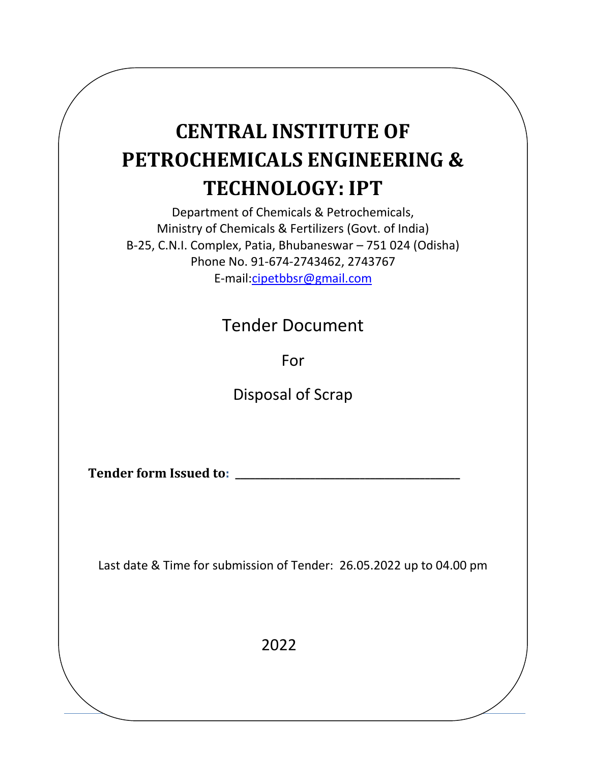# **CENTRAL INSTITUTE OF PETROCHEMICALS ENGINEERING & TECHNOLOGY: IPT**

Department of Chemicals & Petrochemicals, Ministry of Chemicals & Fertilizers (Govt. of India) B-25, C.N.I. Complex, Patia, Bhubaneswar – 751 024 (Odisha) Phone No. 91-674-2743462, 2743767 E-mail[:cipetbbsr@gmail.com](mailto:cipetbbsr@gmail.com)

Tender Document

For

Disposal of Scrap

**Tender form Issued to: \_\_\_\_\_\_\_\_\_\_\_\_\_\_\_\_\_\_\_\_\_\_\_\_\_\_\_\_\_\_\_\_\_\_\_\_\_\_\_\_\_\_\_\_\_**

Last date & Time for submission of Tender: 26.05.2022 up to 04.00 pm

2022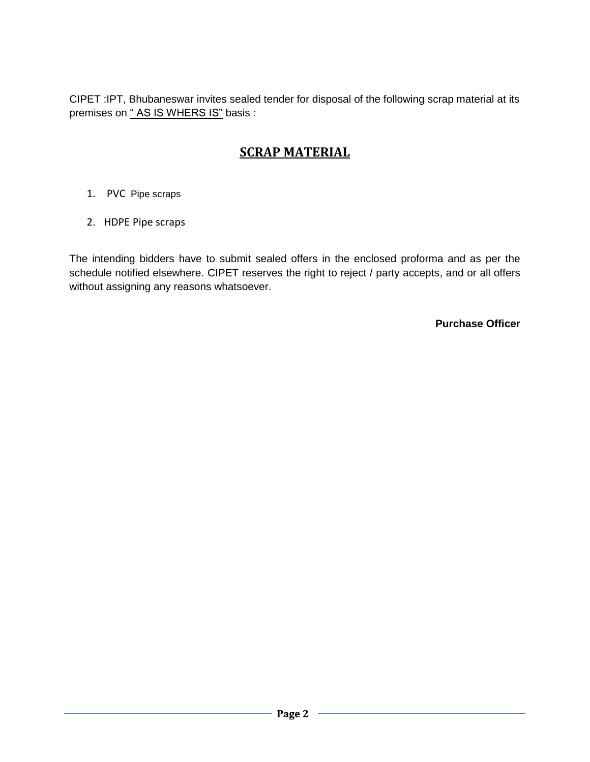CIPET :IPT, Bhubaneswar invites sealed tender for disposal of the following scrap material at its premises on "AS IS WHERS IS" basis :

#### **SCRAP MATERIAL**

- 1. PVC Pipe scraps
- 2. HDPE Pipe scraps

The intending bidders have to submit sealed offers in the enclosed proforma and as per the schedule notified elsewhere. CIPET reserves the right to reject / party accepts, and or all offers without assigning any reasons whatsoever.

**Purchase Officer**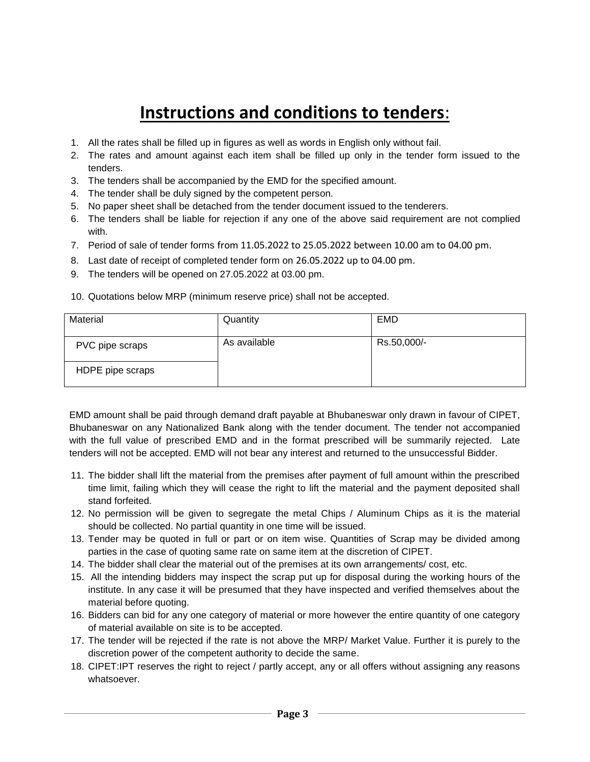## **Instructions and conditions to tenders**:

- 1. All the rates shall be filled up in figures as well as words in English only without fail.
- 2. The rates and amount against each item shall be filled up only in the tender form issued to the tenders.
- 3. The tenders shall be accompanied by the EMD for the specified amount.
- 4. The tender shall be duly signed by the competent person.
- 5. No paper sheet shall be detached from the tender document issued to the tenderers.
- 6. The tenders shall be liable for rejection if any one of the above said requirement are not complied with.
- 7. Period of sale of tender forms from 11.05.2022 to 25.05.2022 between 10.00 am to 04.00 pm.
- 8. Last date of receipt of completed tender form on 26.05.2022 up to 04.00 pm.
- 9. The tenders will be opened on 27.05.2022 at 03.00 pm.

| 10. Quotations below MRP (minimum reserve price) shall not be accepted. |  |  |
|-------------------------------------------------------------------------|--|--|
|                                                                         |  |  |

| Material         | Quantity     | <b>EMD</b>  |
|------------------|--------------|-------------|
| PVC pipe scraps  | As available | Rs.50,000/- |
| HDPE pipe scraps |              |             |

EMD amount shall be paid through demand draft payable at Bhubaneswar only drawn in favour of CIPET, Bhubaneswar on any Nationalized Bank along with the tender document. The tender not accompanied with the full value of prescribed EMD and in the format prescribed will be summarily rejected. Late tenders will not be accepted. EMD will not bear any interest and returned to the unsuccessful Bidder.

- 11. The bidder shall lift the material from the premises after payment of full amount within the prescribed time limit, failing which they will cease the right to lift the material and the payment deposited shall stand forfeited.
- 12. No permission will be given to segregate the metal Chips / Aluminum Chips as it is the material should be collected. No partial quantity in one time will be issued.
- 13. Tender may be quoted in full or part or on item wise. Quantities of Scrap may be divided among parties in the case of quoting same rate on same item at the discretion of CIPET.
- 14. The bidder shall clear the material out of the premises at its own arrangements/ cost, etc.
- 15. All the intending bidders may inspect the scrap put up for disposal during the working hours of the institute. In any case it will be presumed that they have inspected and verified themselves about the material before quoting.
- 16. Bidders can bid for any one category of material or more however the entire quantity of one category of material available on site is to be accepted.
- 17. The tender will be rejected if the rate is not above the MRP/ Market Value. Further it is purely to the discretion power of the competent authority to decide the same.
- 18. CIPET:IPT reserves the right to reject / partly accept, any or all offers without assigning any reasons whatsoever.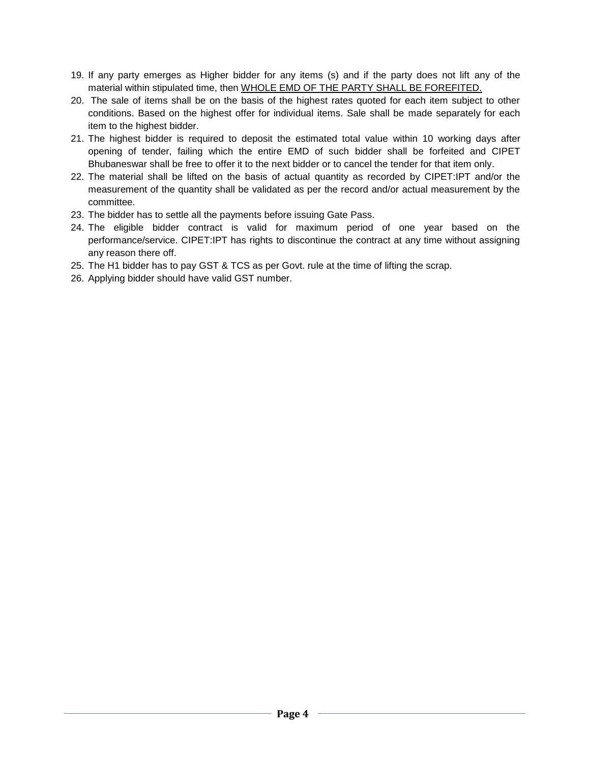- 19. If any party emerges as Higher bidder for any items (s) and if the party does not lift any of the material within stipulated time, then WHOLE EMD OF THE PARTY SHALL BE FOREFITED.
- 20. The sale of items shall be on the basis of the highest rates quoted for each item subject to other conditions. Based on the highest offer for individual items. Sale shall be made separately for each item to the highest bidder.
- 21. The highest bidder is required to deposit the estimated total value within 10 working days after opening of tender, failing which the entire EMD of such bidder shall be forfeited and CIPET Bhubaneswar shall be free to offer it to the next bidder or to cancel the tender for that item only.
- 22. The material shall be lifted on the basis of actual quantity as recorded by CIPET:IPT and/or the measurement of the quantity shall be validated as per the record and/or actual measurement by the committee.
- 23. The bidder has to settle all the payments before issuing Gate Pass.
- 24. The eligible bidder contract is valid for maximum period of one year based on the performance/service. CIPET:IPT has rights to discontinue the contract at any time without assigning any reason there off.
- 25. The H1 bidder has to pay GST & TCS as per Govt. rule at the time of lifting the scrap.
- 26. Applying bidder should have valid GST number.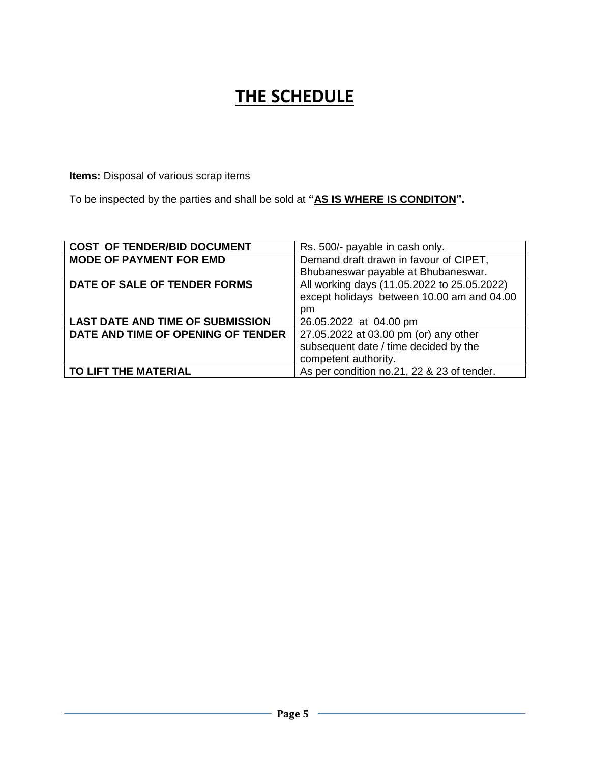## **THE SCHEDULE**

**Items:** Disposal of various scrap items

To be inspected by the parties and shall be sold at **"AS IS WHERE IS CONDITON".**

| <b>COST OF TENDER/BID DOCUMENT</b>      | Rs. 500/- payable in cash only.             |  |
|-----------------------------------------|---------------------------------------------|--|
| <b>MODE OF PAYMENT FOR EMD</b>          | Demand draft drawn in favour of CIPET,      |  |
|                                         | Bhubaneswar payable at Bhubaneswar.         |  |
| DATE OF SALE OF TENDER FORMS            | All working days (11.05.2022 to 25.05.2022) |  |
|                                         | except holidays between 10.00 am and 04.00  |  |
|                                         | pm                                          |  |
| <b>LAST DATE AND TIME OF SUBMISSION</b> | 26.05.2022 at 04.00 pm                      |  |
| DATE AND TIME OF OPENING OF TENDER      | 27.05.2022 at 03.00 pm (or) any other       |  |
|                                         | subsequent date / time decided by the       |  |
|                                         | competent authority.                        |  |
| TO LIFT THE MATERIAL                    | As per condition no.21, 22 & 23 of tender.  |  |